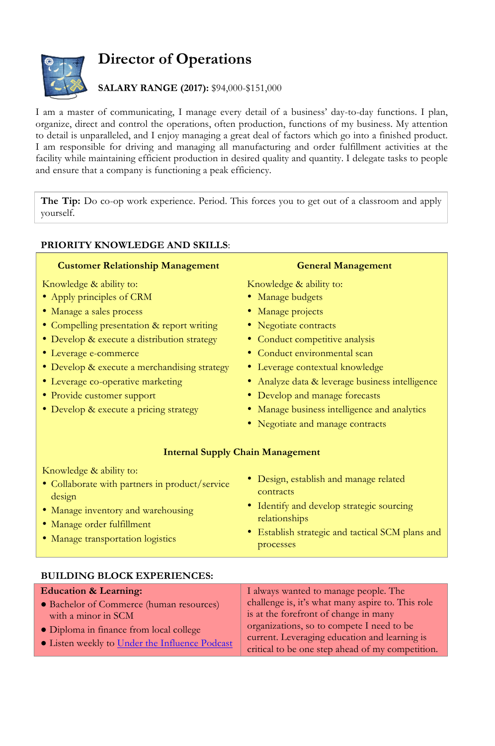# **Director of Operations**



## **SALARY RANGE (2017):** \$94,000-\$151,000

I am a master of communicating, I manage every detail of a business' day-to-day functions. I plan, organize, direct and control the operations, often production, functions of my business. My attention to detail is unparalleled, and I enjoy managing a great deal of factors which go into a finished product. I am responsible for driving and managing all manufacturing and order fulfillment activities at the facility while maintaining efficient production in desired quality and quantity. I delegate tasks to people and ensure that a company is functioning a peak efficiency.

**The Tip:** Do co-op work experience. Period. This forces you to get out of a classroom and apply yourself.

### **PRIORITY KNOWLEDGE AND SKILLS**:

#### **Customer Relationship Management**

Knowledge & ability to:

- Apply principles of CRM
- Manage a sales process
- Compelling presentation & report writing
- Develop & execute a distribution strategy
- Leverage e-commerce
- Develop & execute a merchandising strategy
- Leverage co-operative marketing
- Provide customer support
- Develop & execute a pricing strategy

#### **General Management**

Knowledge & ability to:

- Manage budgets
- Manage projects
- Negotiate contracts
- Conduct competitive analysis
- Conduct environmental scan
- Leverage contextual knowledge
- Analyze data & leverage business intelligence
- Develop and manage forecasts
- Manage business intelligence and analytics
- Negotiate and manage contracts

#### **Internal Supply Chain Management**

Knowledge & ability to:

- Collaborate with partners in product/service design
- Manage inventory and warehousing
- Manage order fulfillment
- Manage transportation logistics
- Design, establish and manage related contracts
- Identify and develop strategic sourcing relationships
- Establish strategic and tactical SCM plans and processes

| <b>Education &amp; Learning:</b>               | I always wanted to manage people. The             |
|------------------------------------------------|---------------------------------------------------|
| • Bachelor of Commerce (human resources)       | challenge is, it's what many aspire to. This role |
| with a minor in SCM                            | is at the forefront of change in many             |
| • Diploma in finance from local college        | organizations, so to compete I need to be         |
| • Listen weekly to Under the Influence Podcast | current. Leveraging education and learning is     |
|                                                | critical to be one step ahead of my competition.  |

#### **BUILDING BLOCK EXPERIENCES:**